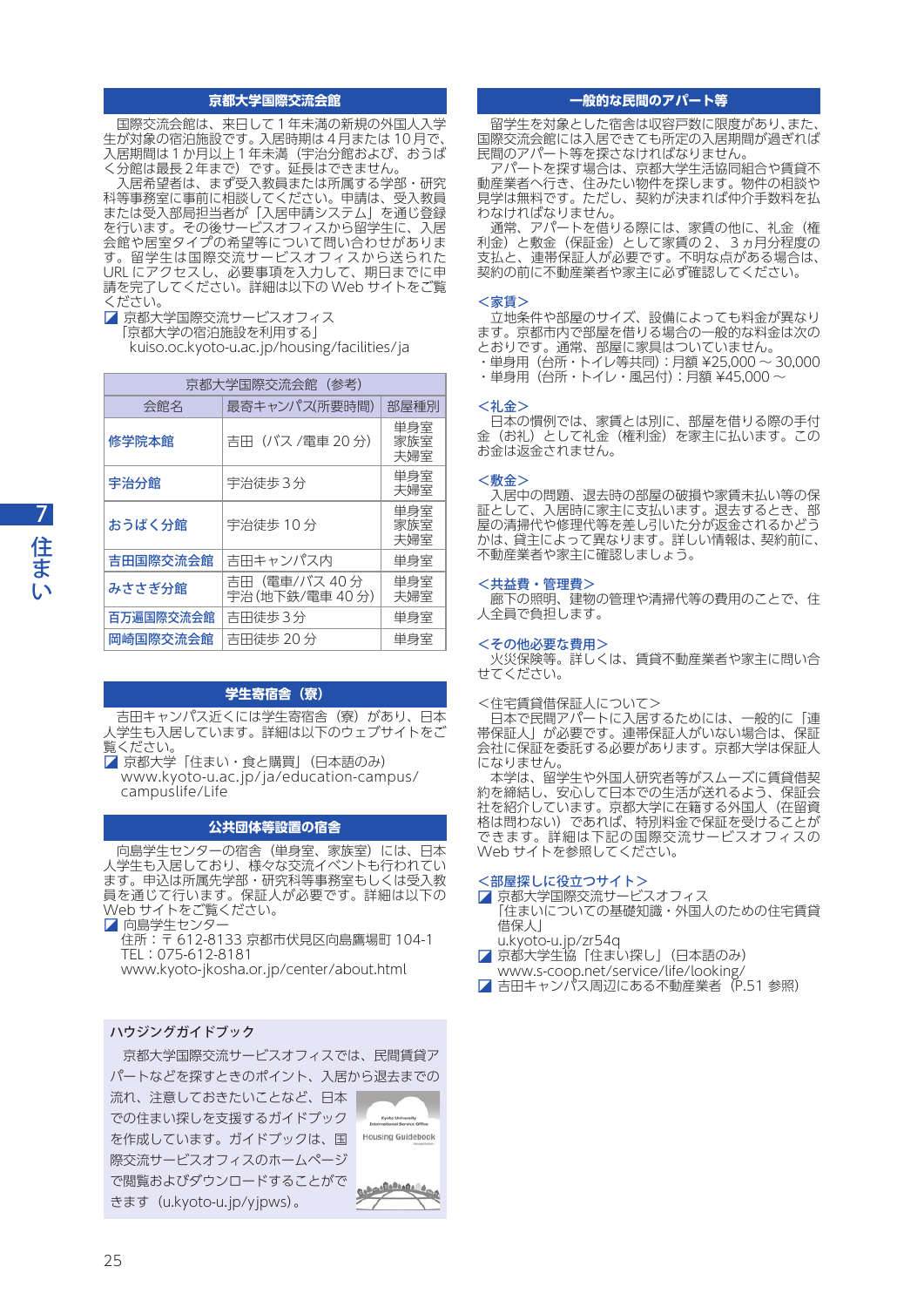## **京都大学国際交流会館**

 国際交流会館は、来日して1年未満の新規の外国人入学 生が対象の宿泊施設です。入居時期は4月または 10 月で、 入居期間は1か月以上1年未満(宇治分館および、おうば く分館は最長2年まで)です。延長はできません。

 入居希望者は、まず受入教員または所属する学部・研究 科等事務室に事前に相談してください。申請は、受入教員 または受入部局担当者が「入居申請システム」を通じ登録 を行います。その後サービスオフィスから留学生に、入居 会館や居室タイプの希望等について問い合わせがありま す。留学生は国際交流サービスオフィスから送られた URL にアクセスし、必要事項を入力して、期日までに申 請を完了してください。詳細は以下の Web サイトをご覧 ください。

■ 京都大学国際交流サービスオフィス

「京都大学の宿泊施設を利用する」

[kuiso.oc.kyoto-u.ac.jp/housing/facilities/ja](http://kuiso.oc.kyoto-u.ac.jp/housing/facilities/ja)

| 京都大学国際交流会館(参考) |                                  |                   |
|----------------|----------------------------------|-------------------|
| 会館名            | 最寄キャンパス(所要時間)                    | 部屋種別              |
| 修学院本館          | 吉田 (バス /電車 20分)                  | 単身室<br>家族室<br>夫婦室 |
| 宇治分館           | 宇治徒歩3分                           | 単身室<br>夫婦室        |
| おうばく分館         | 宇治徒歩 10分                         | 単身室<br>家族室<br>夫婦室 |
| 吉田国際交流会館       | 吉田キャンパス内                         | 単身室               |
| みささぎ分館         | 吉田 (電車/バス 40分<br>宇治(地下鉄/電車 40 分) | 単身室<br>夫婦室        |
| 百万遍国際交流会館      | 吉田徒歩3分                           | 単身室               |
| 岡崎国際交流会館       | 吉田徒歩 20分                         | 単身室               |

# **学生寄宿舎(寮)**

 吉田キャンパス近くには学生寄宿舎(寮)があり、日本 人学生も入居しています。詳細は以下のウェブサイトをご 覧ください。

◪ 京都大学「住まい・食と購買」(日本語のみ) [www.kyoto-u.ac.jp/ja/education-campus/](http://www.kyoto-u.ac.jp/ja/education-campus/campuslife/Life)

[campuslife/Life](http://www.kyoto-u.ac.jp/ja/education-campus/campuslife/Life)

# **公共団体等設置の宿舎**

向島学生センターの宿舎(単身室、家族室)には、日本 人学生も入居しており、様々な交流イベントも行われてい ます。申込は所属先学部・研究科等事務室もしくは受入教 員を通じて行います。保証人が必要です。詳細は以下の Web サイトをご覧ください。

■■ 向島学生センター

住所:〒 612-8133 京都市伏見区向島鷹場町 104-1 TEL:075-612-8181

[www.kyoto-jkosha.or.jp/center/about.html](http://www.kyoto-jkosha.or.jp/center/about.html)

## ハウジングガイドブック

 京都大学国際交流サービスオフィスでは、民間賃貸ア パートなどを探すときのポイント、入居から退去までの

流れ、注意しておきたいことなど、日本 での住まい探しを支援するガイドブック を作成しています。ガイドブックは、国 際交流サービスオフィスのホームページ で閲覧およびダウンロードすることがで きます([u.kyoto-u.jp/yjpws\)](http://u.kyoto-u.jp/yjpws)。



## **一般的な民間のアパート等**

留学生を対象とした宿舎は収容戸数に限度があり、また 国際交流会館には入居できても所定の入居期間が過ぎれば 民間のアパート等を探さなければなりません。

 アパートを探す場合は、京都大学生活協同組合や賃貸不 動産業者へ行き、住みたい物件を探します。物件の相談や 見学は無料です。ただし、契約が決まれば仲介手数料を払 わなければなりません。

 通常、アパートを借りる際には、家賃の他に、礼金(権 利金)と敷金(保証金)として家賃の2、3ヵ月分程度の 支払と、連帯保証人が必要です。不明な点がある場合は、 契約の前に不動産業者や家主に必ず確認してください。

#### <家賃>

 立地条件や部屋のサイズ、設備によっても料金が異なり ます。京都市内で部屋を借りる場合の一般的な料金は次の とおりです。通常、部屋に家具はついていません。 ・単身用(台所・トイレ等共同):月額 ¥25,000 〜 30,000

・単身用(台所・トイレ・風呂付):月額 ¥45,000 〜

#### <礼金>

 日本の慣例では、家賃とは別に、部屋を借りる際の手付 金(お礼)として礼金(権利金)を家主に払います。この お金は返金されません。

#### <敷金>

 入居中の問題、退去時の部屋の破損や家賃未払い等の保 証として、入居時に家主に支払います。退去するとき、部 屋の清掃代や修理代等を差し引いた分が返金されるかどう かは、貸主によって異なります。詳しい情報は、契約前に、 不動産業者や家主に確認しましょう。

### <共益費・管理費>

 廊下の照明、建物の管理や清掃代等の費用のことで、住 人全員で負担します。

### <その他必要な費用>

 火災保険等。詳しくは、賃貸不動産業者や家主に問い合 せてください。

<住宅賃貸借保証人について>

日本で民間アパートに入居するためには、一般的に「連 帯保証人」が必要です。連帯保証人がいない場合は、保証 会社に保証を委託する必要があります。京都大学は保証人 になりません。

 本学は、留学生や外国人研究者等がスムーズに賃貸借契 約を締結し、安心して日本での生活が送れるよう、保証会 社を紹介しています。京都大学に在籍する外国人(在留資 格は問わない)であれば、特別料金で保証を受けることが できます。詳細は下記の国際交流サービスオフィスの Web サイトを参照してください。

# <部屋探しに役立つサイト>

■ 京都大学国際交流サービスオフィス 「住まいについての基礎知識・外国人のための住宅賃貸 借保人」

[u.kyoto-u.jp/zr54q](http://u.kyoto-u.jp/zr54q)

- 京都大学生協「住まい探し」(日本語のみ)
- [www.s-coop.net/service/life/looking/](http://www.s-coop.net/service/life/looking/) ■ 吉田キャンパス周辺にある不動産業者(P.51 参照)